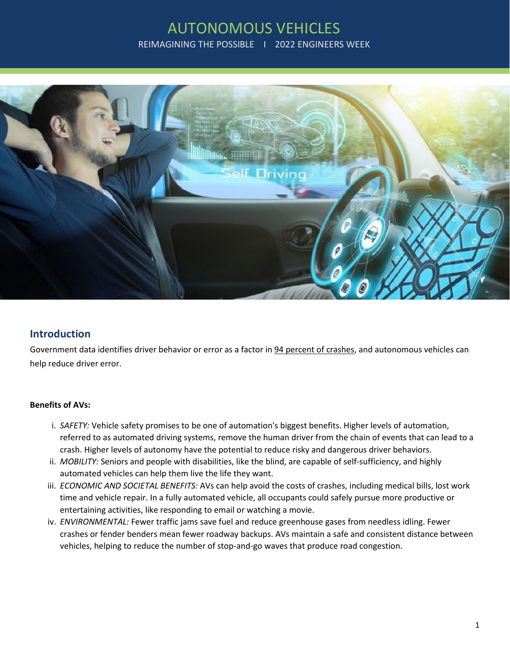# AUTONOMOUS VEHICLES REIMAGINING THE POSSIBLE | 2022 ENGINEERS WEEK



## **Introduction**

Government data identifies driver behavior or error as a factor in 94 percent of crashes, and autonomous vehicles can help reduce driver error.

### **Benefits of AVs:**

- i. *SAFETY:* Vehicle safety promises to be one of automation's biggest benefits. Higher levels of automation, referred to as automated driving systems, remove the human driver from the chain of events that can lead to a crash. Higher levels of autonomy have the potential to reduce risky and dangerous driver behaviors.
- ii. *MOBILITY:* Seniors and people with disabilities, like the blind, are capable of self-sufficiency, and highly automated vehicles can help them live the life they want.
- iii. *ECONOMIC AND SOCIETAL BENEFITS:* AVs can help avoid the costs of crashes, including medical bills, lost work time and vehicle repair. In a fully automated vehicle, all occupants could safely pursue more productive or entertaining activities, like responding to email or watching a movie.
- iv. *ENVIRONMENTAL:* Fewer traffic jams save fuel and reduce greenhouse gases from needless idling. Fewer crashes or fender benders mean fewer roadway backups. AVs maintain a safe and consistent distance between vehicles, helping to reduce the number of stop-and-go waves that produce road congestion.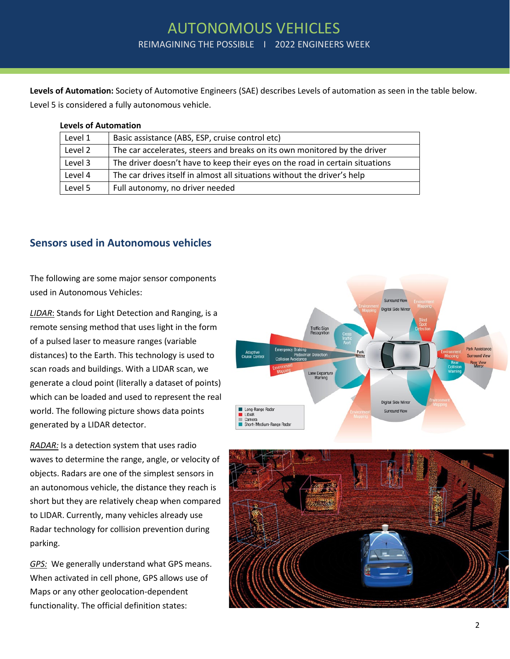**Levels of Automation:** Society of Automotive Engineers (SAE) describes Levels of automation as seen in the table below. Level 5 is considered a fully autonomous vehicle.

#### **Levels of Automation**

| Level 1 | Basic assistance (ABS, ESP, cruise control etc)                              |
|---------|------------------------------------------------------------------------------|
| Level 2 | The car accelerates, steers and breaks on its own monitored by the driver    |
| Level 3 | The driver doesn't have to keep their eyes on the road in certain situations |
| Level 4 | The car drives itself in almost all situations without the driver's help     |
| Level 5 | Full autonomy, no driver needed                                              |

## **Sensors used in Autonomous vehicles**

The following are some major sensor components used in Autonomous Vehicles:

*LIDAR*: Stands for Light Detection and Ranging, is a remote sensing method that uses light in the form of a pulsed laser to measure ranges (variable distances) to the Earth. This technology is used to scan roads and buildings. With a LIDAR scan, we generate a cloud point (literally a dataset of points) which can be loaded and used to represent the real world. The following picture shows data points generated by a LIDAR detector.

*RADAR:* Is a detection system that uses [radio](https://en.wikipedia.org/wiki/Radio_wave)  [waves](https://en.wikipedia.org/wiki/Radio_wave) to determine the range, angle, or velocity of objects. Radars are one of the simplest sensors in an autonomous vehicle, the distance they reach is short but they are relatively cheap when compared to LIDAR. Currently, many vehicles already use Radar technology for collision prevention during parking.

*GPS:* We generally understand what GPS means. When activated in cell phone, GPS allows use of Maps or any other geolocation-dependent functionality. The official definition states:



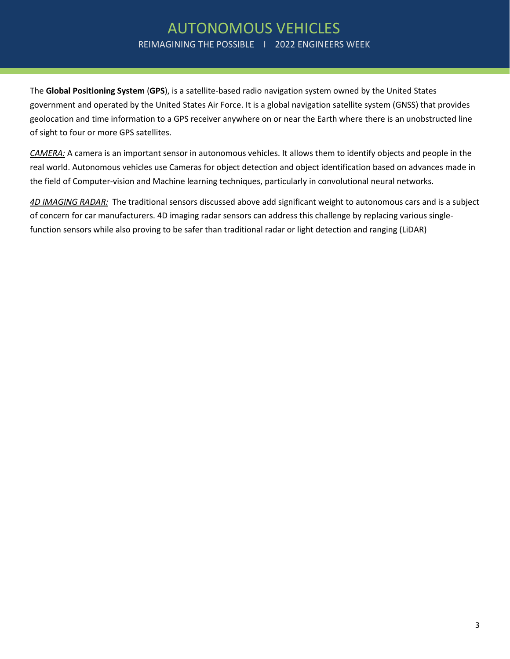## AUTONOMOUS VEHICLES REIMAGINING THE POSSIBLE | 2022 ENGINEERS WEEK

The **Global Positioning System** (**GPS**), is a satellite-based radio navigation system owned by the United States government and operated by the United States Air Force. It is a global navigation satellite system (GNSS) that provides geolocation and time information to a GPS receiver anywhere on or near the Earth where there is an unobstructed line of sight to four or more GPS satellites.

*CAMERA:* A camera is an important sensor in autonomous vehicles. It allows them to identify objects and people in the real world. Autonomous vehicles use Cameras for object detection and object identification based on advances made in the field of Computer-vision and Machine learning techniques, particularly in convolutional neural networks.

*4D IMAGING RADAR:* The traditional sensors discussed above add significant weight to autonomous cars and is a subject of concern for car manufacturers. 4D imaging radar sensors can address this challenge by replacing various singlefunction sensors while also proving to be safer than traditional radar or light detection and ranging (LiDAR)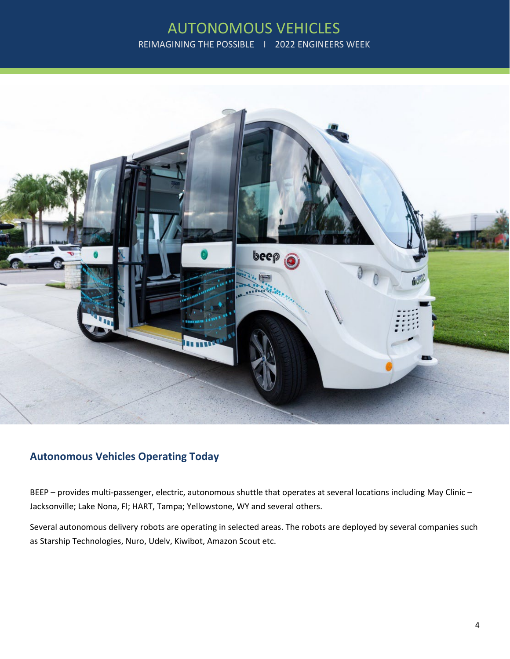# AUTONOMOUS VEHICLES REIMAGINING THE POSSIBLE I 2022 ENGINEERS WEEK



## **Autonomous Vehicles Operating Today**

BEEP – provides multi-passenger, electric, autonomous shuttle that operates at several locations including May Clinic – Jacksonville; Lake Nona, Fl; HART, Tampa; Yellowstone, WY and several others.

Several autonomous delivery robots are operating in selected areas. The robots are deployed by several companies such as Starship Technologies, Nuro, Udelv, Kiwibot, Amazon Scout etc.